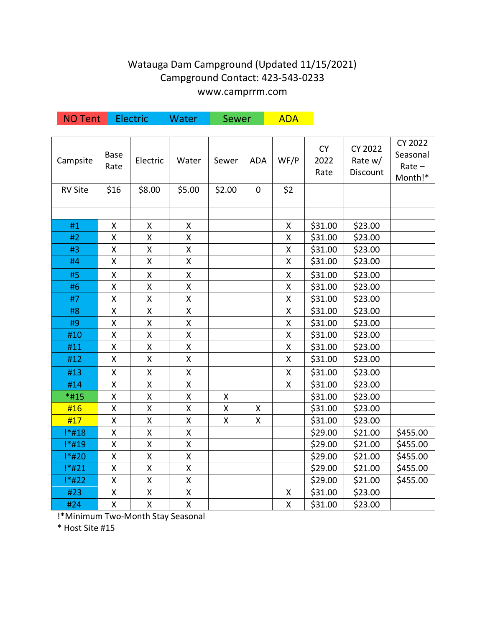## Watauga Dam Campground (Updated 11/15/2021) Campground Contact: 423-543-0233 www.camprrm.com

| <b>NO Tent</b> |                    | Electric           | Water              | Sewer  |            | <b>ADA</b>         |                           |                                       |                                                   |
|----------------|--------------------|--------------------|--------------------|--------|------------|--------------------|---------------------------|---------------------------------------|---------------------------------------------------|
| Campsite       | Base<br>Rate       | Electric           | Water              | Sewer  | <b>ADA</b> | WF/P               | <b>CY</b><br>2022<br>Rate | <b>CY 2022</b><br>Rate w/<br>Discount | <b>CY 2022</b><br>Seasonal<br>$Rate -$<br>Month!* |
| <b>RV Site</b> | \$16               | \$8.00             | \$5.00             | \$2.00 | 0          | \$2                |                           |                                       |                                                   |
|                |                    |                    |                    |        |            |                    |                           |                                       |                                                   |
| #1             | Χ                  | Χ                  | Χ                  |        |            | X                  | \$31.00                   | \$23.00                               |                                                   |
| #2             | Χ                  | X                  | Χ                  |        |            | Χ                  | \$31.00                   | \$23.00                               |                                                   |
| #3             | Χ                  | X                  | Χ                  |        |            | Χ                  | \$31.00                   | \$23.00                               |                                                   |
| #4             | Χ                  | Χ                  | X                  |        |            | $\pmb{\mathsf{X}}$ | \$31.00                   | \$23.00                               |                                                   |
| #5             | Χ                  | X                  | Χ                  |        |            | Χ                  | \$31.00                   | \$23.00                               |                                                   |
| #6             | Χ                  | X                  | Χ                  |        |            | Χ                  | \$31.00                   | \$23.00                               |                                                   |
| #7             | Χ                  | Χ                  | Χ                  |        |            | Χ                  | \$31.00                   | \$23.00                               |                                                   |
| #8             | $\pmb{\mathsf{X}}$ | X                  | X                  |        |            | X                  | \$31.00                   | \$23.00                               |                                                   |
| #9             | Χ                  | Χ                  | Χ                  |        |            | Χ                  | \$31.00                   | \$23.00                               |                                                   |
| #10            | Χ                  | X                  | Χ                  |        |            | Χ                  | \$31.00                   | \$23.00                               |                                                   |
| #11            | X                  | Χ                  | Χ                  |        |            | X                  | \$31.00                   | \$23.00                               |                                                   |
| #12            | Χ                  | X                  | X                  |        |            | $\mathsf{X}$       | \$31.00                   | \$23.00                               |                                                   |
| #13            | Χ                  | Χ                  | Χ                  |        |            | Χ                  | \$31.00                   | \$23.00                               |                                                   |
| #14            | Χ                  | Χ                  | Χ                  |        |            | X                  | \$31.00                   | \$23.00                               |                                                   |
| *#15           | X                  | Χ                  | Χ                  | X      |            |                    | \$31.00                   | \$23.00                               |                                                   |
| #16            | Χ                  | X                  | Χ                  | Χ      | X          |                    | \$31.00                   | \$23.00                               |                                                   |
| #17            | Χ                  | X                  | $\pmb{\mathsf{X}}$ | X      | Χ          |                    | \$31.00                   | \$23.00                               |                                                   |
| !*#18          | Χ                  | Χ                  | X                  |        |            |                    | \$29.00                   | \$21.00                               | \$455.00                                          |
| !*#19          | Χ                  | $\pmb{\mathsf{X}}$ | $\pmb{\mathsf{X}}$ |        |            |                    | \$29.00                   | \$21.00                               | \$455.00                                          |
| !*#20          | $\pmb{\mathsf{X}}$ | X                  | Χ                  |        |            |                    | \$29.00                   | \$21.00                               | \$455.00                                          |
| !*#21          | $\pmb{\mathsf{X}}$ | $\pmb{\mathsf{X}}$ | Χ                  |        |            |                    | \$29.00                   | \$21.00                               | \$455.00                                          |
| !*#22          | $\pmb{\mathsf{X}}$ | X                  | $\pmb{\mathsf{X}}$ |        |            |                    | \$29.00                   | \$21.00                               | \$455.00                                          |
| #23            | Χ                  | Χ                  | Χ                  |        |            | χ                  | \$31.00                   | \$23.00                               |                                                   |
| #24            | X                  | X                  | $\mathsf{X}% _{0}$ |        |            | $\mathsf{X}$       | \$31.00                   | \$23.00                               |                                                   |

!\*Minimum Two-Month Stay Seasonal

\* Host Site #15